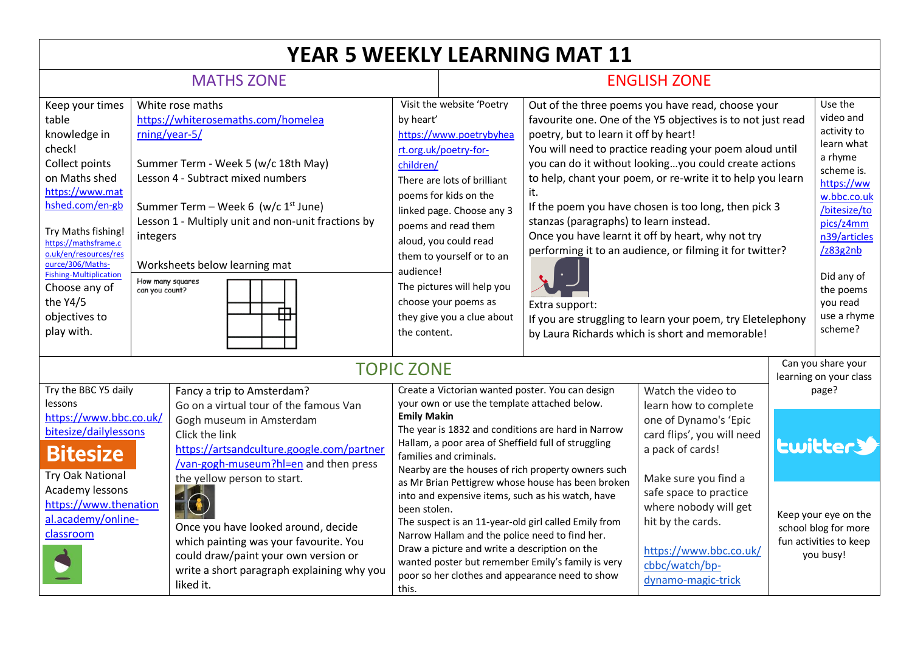| <b>YEAR 5 WEEKLY LEARNING MAT 11</b>                                                                                                                                                                                                                                                                                |                                                                                                                                                                                                                                                                                                                                          |                                                                                                                                                                                                                                         |                                                                                                                                                                                                                                                                                                                                               |                                                                                                                                                                                                                                                                                                                                                                           |                                                                                                                                                                                                                                                                                                                                                                                                                                                                                                                                                                                                                                                                                                          |                                                                                                                                                |                                              |                                                                                                                                                                                                                                   |  |  |
|---------------------------------------------------------------------------------------------------------------------------------------------------------------------------------------------------------------------------------------------------------------------------------------------------------------------|------------------------------------------------------------------------------------------------------------------------------------------------------------------------------------------------------------------------------------------------------------------------------------------------------------------------------------------|-----------------------------------------------------------------------------------------------------------------------------------------------------------------------------------------------------------------------------------------|-----------------------------------------------------------------------------------------------------------------------------------------------------------------------------------------------------------------------------------------------------------------------------------------------------------------------------------------------|---------------------------------------------------------------------------------------------------------------------------------------------------------------------------------------------------------------------------------------------------------------------------------------------------------------------------------------------------------------------------|----------------------------------------------------------------------------------------------------------------------------------------------------------------------------------------------------------------------------------------------------------------------------------------------------------------------------------------------------------------------------------------------------------------------------------------------------------------------------------------------------------------------------------------------------------------------------------------------------------------------------------------------------------------------------------------------------------|------------------------------------------------------------------------------------------------------------------------------------------------|----------------------------------------------|-----------------------------------------------------------------------------------------------------------------------------------------------------------------------------------------------------------------------------------|--|--|
| <b>MATHS ZONE</b>                                                                                                                                                                                                                                                                                                   |                                                                                                                                                                                                                                                                                                                                          |                                                                                                                                                                                                                                         |                                                                                                                                                                                                                                                                                                                                               | <b>ENGLISH ZONE</b>                                                                                                                                                                                                                                                                                                                                                       |                                                                                                                                                                                                                                                                                                                                                                                                                                                                                                                                                                                                                                                                                                          |                                                                                                                                                |                                              |                                                                                                                                                                                                                                   |  |  |
| Keep your times<br>table<br>knowledge in<br>check!<br>Collect points<br>on Maths shed<br>https://www.mat<br>hshed.com/en-gb<br>Try Maths fishing!<br>https://mathsframe.c<br>o.uk/en/resources/res<br>ource/306/Maths-<br><b>Fishing-Multiplication</b><br>Choose any of<br>the Y4/5<br>objectives to<br>play with. | White rose maths<br>https://whiterosemaths.com/homelea<br>rning/year-5/<br>Summer Term - Week 5 (w/c 18th May)<br>Lesson 4 - Subtract mixed numbers<br>Summer Term - Week 6 (w/c 1st June)<br>Lesson 1 - Multiply unit and non-unit fractions by<br>integers<br>Worksheets below learning mat<br>How many squares<br>can you count?<br>⊞ |                                                                                                                                                                                                                                         | by heart'<br>children/<br>audience!<br>the content.                                                                                                                                                                                                                                                                                           | Visit the website 'Poetry<br>https://www.poetrybyhea<br>rt.org.uk/poetry-for-<br>There are lots of brilliant<br>poems for kids on the<br>linked page. Choose any 3<br>poems and read them<br>aloud, you could read<br>them to yourself or to an<br>The pictures will help you<br>choose your poems as<br>they give you a clue about                                       | Out of the three poems you have read, choose your<br>favourite one. One of the Y5 objectives is to not just read<br>poetry, but to learn it off by heart!<br>You will need to practice reading your poem aloud until<br>you can do it without lookingyou could create actions<br>to help, chant your poem, or re-write it to help you learn<br>it.<br>If the poem you have chosen is too long, then pick 3<br>stanzas (paragraphs) to learn instead.<br>Once you have learnt it off by heart, why not try<br>performing it to an audience, or filming it for twitter?<br>Extra support:<br>If you are struggling to learn your poem, try Eletelephony<br>by Laura Richards which is short and memorable! |                                                                                                                                                |                                              | Use the<br>video and<br>activity to<br>learn what<br>a rhyme<br>scheme is.<br>https://ww<br>w.bbc.co.uk<br>/bitesize/to<br>pics/z4mm<br>n39/articles<br>/z83g2nb<br>Did any of<br>the poems<br>you read<br>use a rhyme<br>scheme? |  |  |
| <b>TOPIC ZONE</b>                                                                                                                                                                                                                                                                                                   |                                                                                                                                                                                                                                                                                                                                          |                                                                                                                                                                                                                                         |                                                                                                                                                                                                                                                                                                                                               |                                                                                                                                                                                                                                                                                                                                                                           |                                                                                                                                                                                                                                                                                                                                                                                                                                                                                                                                                                                                                                                                                                          |                                                                                                                                                | Can you share your<br>learning on your class |                                                                                                                                                                                                                                   |  |  |
| Try the BBC Y5 daily<br>lessons<br>https://www.bbc.co.uk/<br>bitesize/dailylessons<br><b>Bitesize</b><br><b>Try Oak National</b>                                                                                                                                                                                    |                                                                                                                                                                                                                                                                                                                                          | Fancy a trip to Amsterdam?<br>Go on a virtual tour of the famous Van<br>Gogh museum in Amsterdam<br>Click the link<br>https://artsandculture.google.com/partner<br>/van-gogh-museum?hl=en and then press<br>the yellow person to start. |                                                                                                                                                                                                                                                                                                                                               | Create a Victorian wanted poster. You can design<br>your own or use the template attached below.<br><b>Emily Makin</b><br>The year is 1832 and conditions are hard in Narrow<br>Hallam, a poor area of Sheffield full of struggling<br>families and criminals.<br>Nearby are the houses of rich property owners such<br>as Mr Brian Pettigrew whose house has been broken |                                                                                                                                                                                                                                                                                                                                                                                                                                                                                                                                                                                                                                                                                                          | Watch the video to<br>learn how to complete<br>one of Dynamo's 'Epic<br>card flips', you will need<br>a pack of cards!<br>Make sure you find a | page?<br><b>Lwitter&gt;</b>                  |                                                                                                                                                                                                                                   |  |  |
| Academy lessons<br>https://www.thenation<br>al.academy/online-<br>classroom                                                                                                                                                                                                                                         |                                                                                                                                                                                                                                                                                                                                          | Once you have looked around, decide<br>which painting was your favourite. You<br>could draw/paint your own version or<br>write a short paragraph explaining why you<br>liked it.                                                        | into and expensive items, such as his watch, have<br>been stolen.<br>The suspect is an 11-year-old girl called Emily from<br>Narrow Hallam and the police need to find her.<br>Draw a picture and write a description on the<br>wanted poster but remember Emily's family is very<br>poor so her clothes and appearance need to show<br>this. |                                                                                                                                                                                                                                                                                                                                                                           |                                                                                                                                                                                                                                                                                                                                                                                                                                                                                                                                                                                                                                                                                                          | safe space to practice<br>where nobody will get<br>hit by the cards.<br>https://www.bbc.co.uk/<br>cbbc/watch/bp-<br>dynamo-magic-trick         |                                              | Keep your eye on the<br>school blog for more<br>fun activities to keep<br>you busy!                                                                                                                                               |  |  |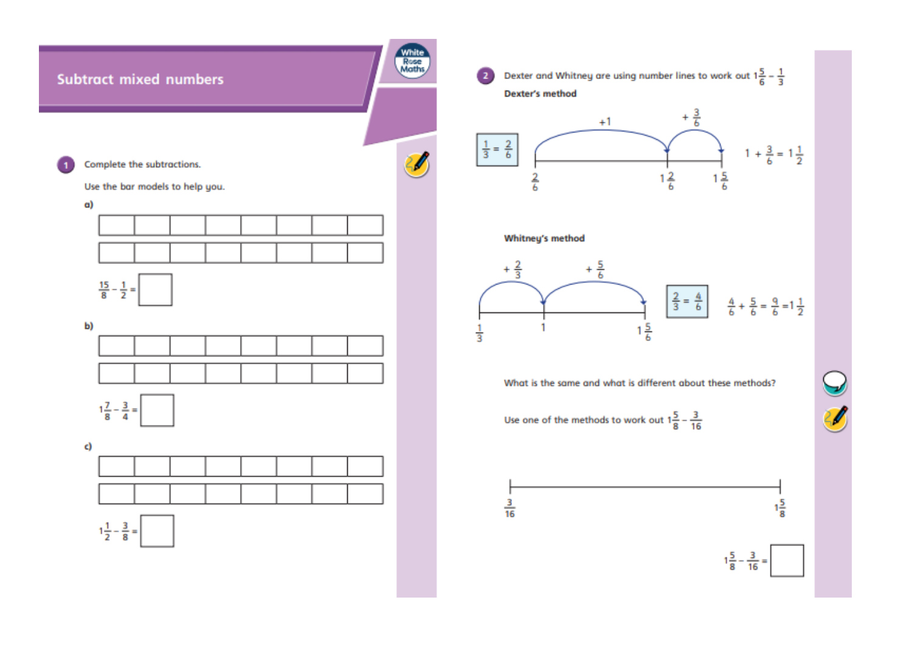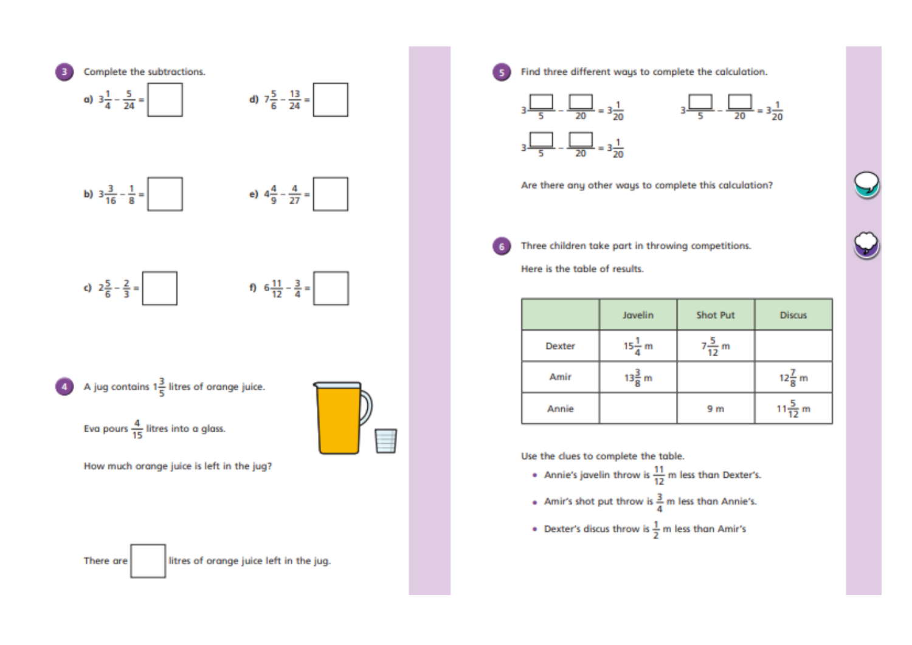

Find three different ways to complete the calculation.

51



Are there any other ways to complete this calculation?

Three children take part in throwing competitions.

Here is the table of results.

|               | Javelin           | Shot Put          | <b>Discus</b>      |
|---------------|-------------------|-------------------|--------------------|
| <b>Dexter</b> | $15\frac{1}{4}$ m | $7\frac{5}{12}$ m |                    |
| Amir          | $13\frac{3}{8}$ m |                   | $12\frac{7}{8}$ m  |
| Annie         |                   | 9 <sub>m</sub>    | $11\frac{5}{12}$ m |

Use the clues to complete the table.

- Annie's javelin throw is  $\frac{11}{12}$  m less than Dexter's.
- Amir's shot put throw is  $\frac{3}{4}$  m less than Annie's.
- Dexter's discus throw is  $\frac{1}{2}$  m less than Amir's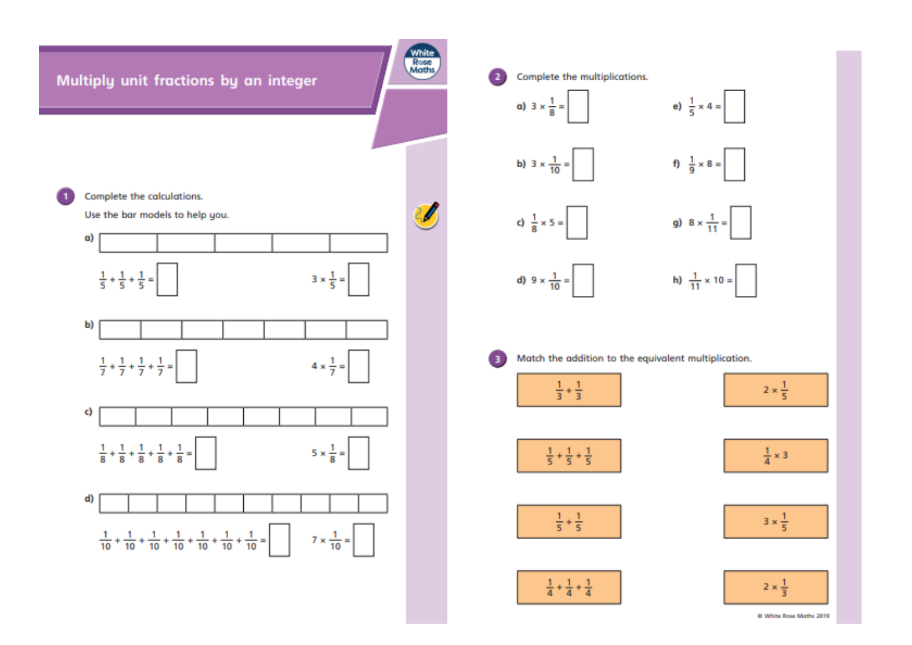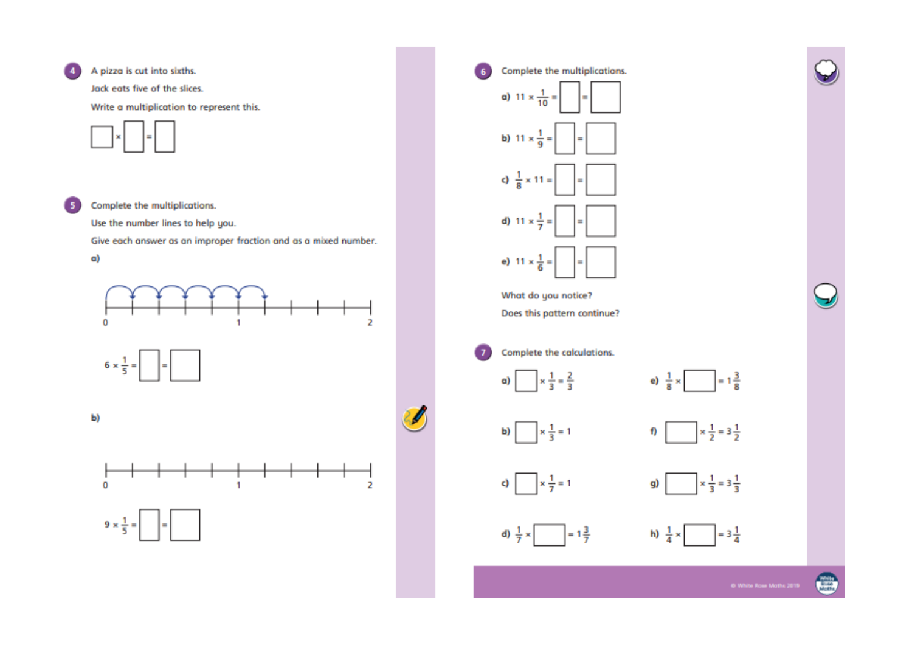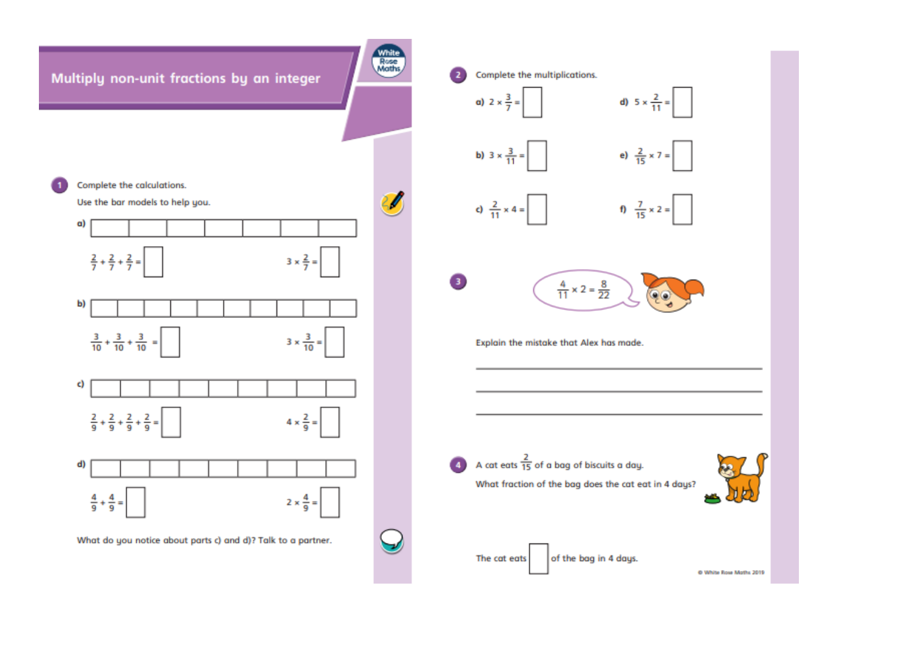

@ White Rose Maths 2019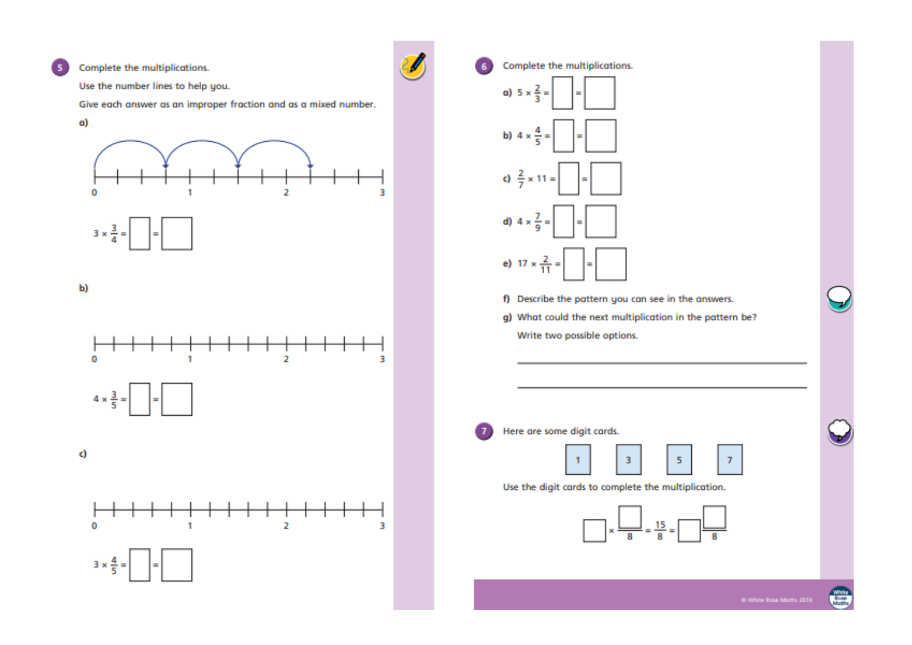Complete the multiplications. Complete the multiplications. 6 5 Use the number lines to help you. a)  $5 \times \frac{2}{3}$ Give each answer as an improper fraction and as a mixed number. a) b)  $4 \times \frac{4}{5}$  $rac{2}{7}$ c)  $x 11 =$  $\overline{2}$  $\Omega$ R  $4 \times \frac{7}{9} =$ <sup>1</sup> d)  $3 \times \frac{3}{4}$ e)  $17 \times \frac{2}{11}$ b) f) Describe the pattern you can see in the answers. g) What could the next multiplication in the pattern be? Write two possible options.  $\Omega$  $\overline{2}$ 3  $4 \times \frac{3}{5} =$  $\overline{1}$ Here are some digit cards. c) 3 5  $\overline{7}$  $\mathbf{1}$ Use the digit cards to complete the multiplication.  $15$  $\mathbf 0$  $\overline{2}$ 3 1  $3 \times \frac{4}{5} =$ 

**White**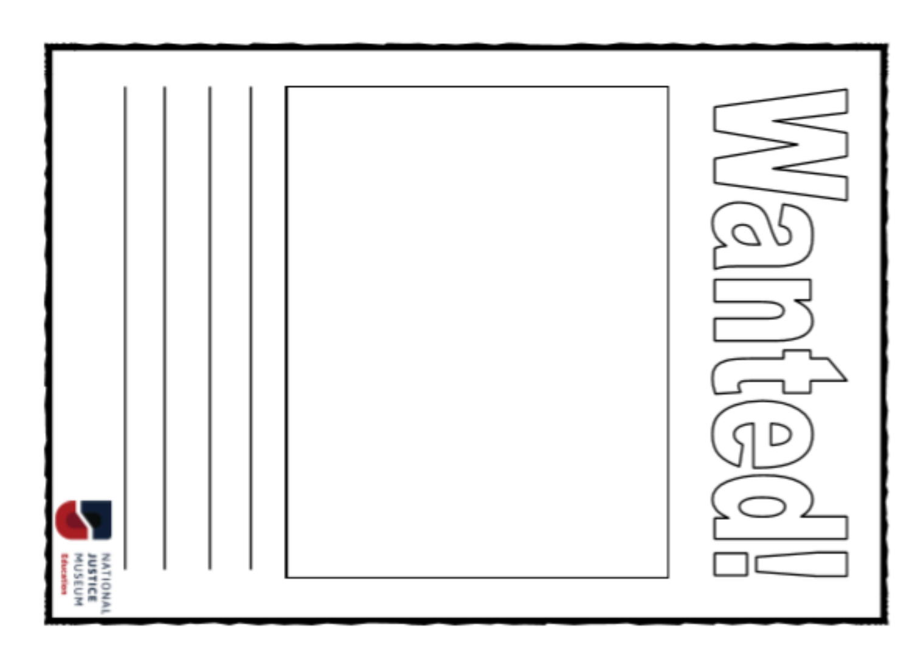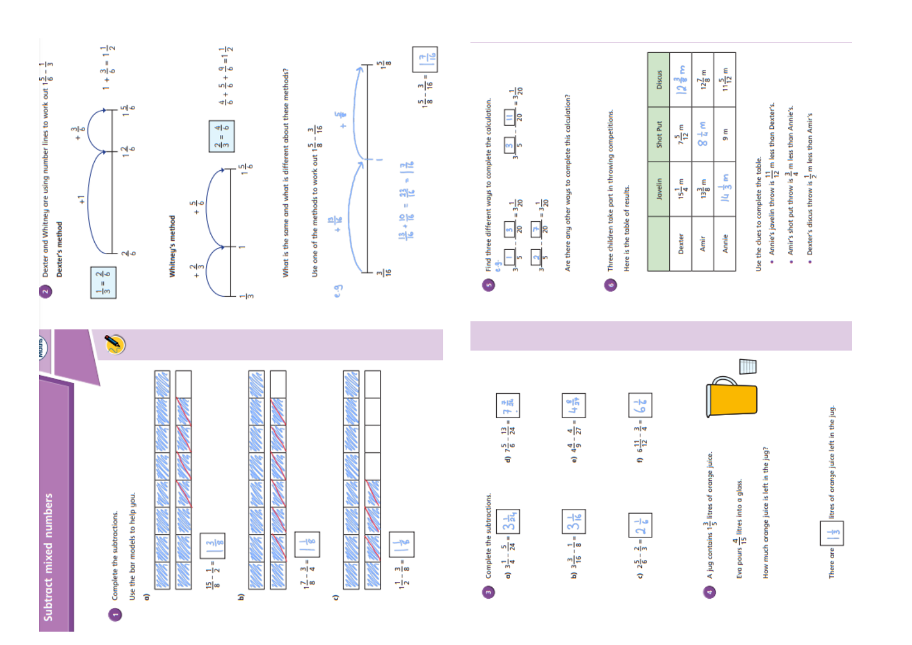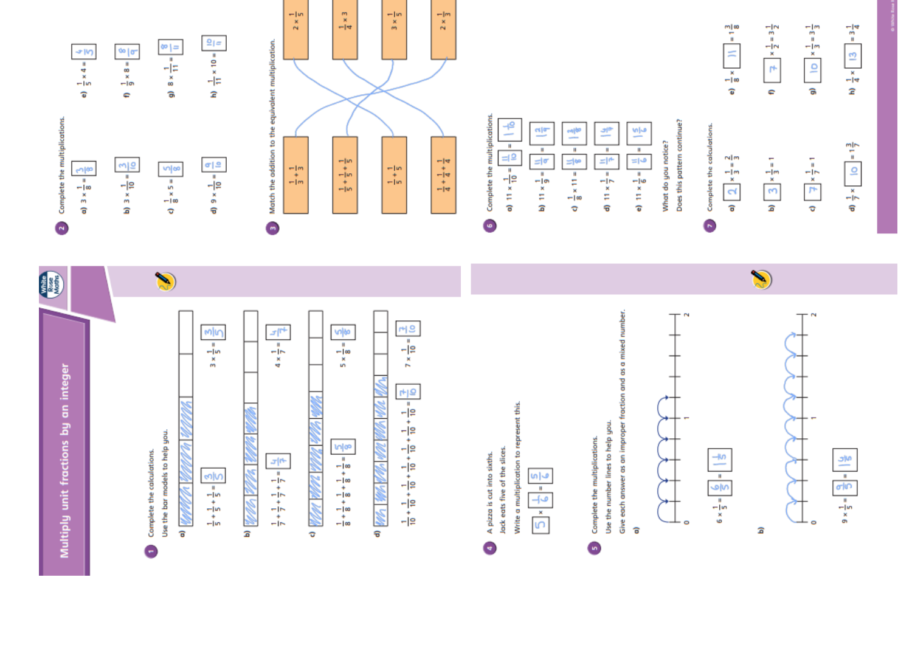